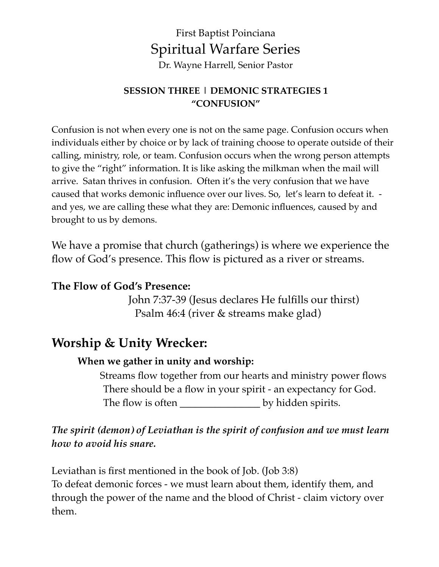## First Baptist Poinciana Spiritual Warfare Series Dr. Wayne Harrell, Senior Pastor

#### **SESSION THREE | DEMONIC STRATEGIES 1 "CONFUSION"**

Confusion is not when every one is not on the same page. Confusion occurs when individuals either by choice or by lack of training choose to operate outside of their calling, ministry, role, or team. Confusion occurs when the wrong person attempts to give the "right" information. It is like asking the milkman when the mail will arrive. Satan thrives in confusion. Often it's the very confusion that we have caused that works demonic influence over our lives. So, let's learn to defeat it. and yes, we are calling these what they are: Demonic influences, caused by and brought to us by demons.

We have a promise that church (gatherings) is where we experience the flow of God's presence. This flow is pictured as a river or streams.

### **The Flow of God's Presence:**

 John 7:37-39 (Jesus declares He fulfills our thirst) Psalm 46:4 (river & streams make glad)

## **Worship & Unity Wrecker:**

#### **When we gather in unity and worship:**

 Streams flow together from our hearts and ministry power flows There should be a flow in your spirit - an expectancy for God. The flow is often **\_\_\_\_\_\_\_\_\_\_\_\_\_\_\_\_** by hidden spirits.

## *The spirit (demon) of Leviathan is the spirit of confusion and we must learn how to avoid his snare.*

Leviathan is first mentioned in the book of Job. (Job 3:8) To defeat demonic forces - we must learn about them, identify them, and through the power of the name and the blood of Christ - claim victory over them.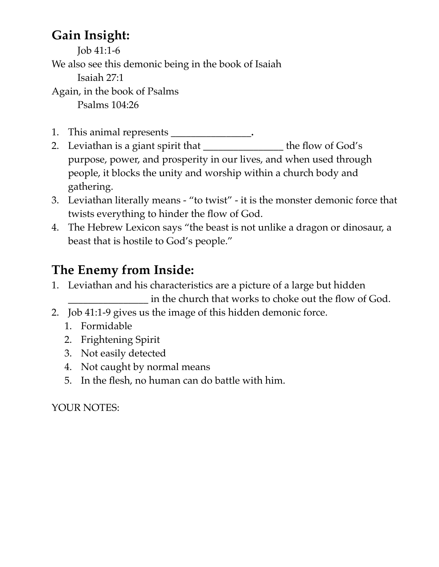# **Gain Insight:**

Job 41:1-6

We also see this demonic being in the book of Isaiah

Isaiah 27:1

Again, in the book of Psalms Psalms 104:26

- 1. This animal represents \_\_\_\_\_\_\_\_\_\_\_\_\_\_\_\_**.**
- 2. Leviathan is a giant spirit that \_\_\_\_\_\_\_\_\_\_\_\_\_\_\_\_\_ the flow of God's purpose, power, and prosperity in our lives, and when used through people, it blocks the unity and worship within a church body and gathering.
- 3. Leviathan literally means "to twist" it is the monster demonic force that twists everything to hinder the flow of God.
- 4. The Hebrew Lexicon says "the beast is not unlike a dragon or dinosaur, a beast that is hostile to God's people."

# **The Enemy from Inside:**

1. Leviathan and his characteristics are a picture of a large but hidden

\_\_\_\_\_\_\_\_\_\_\_\_\_\_\_\_ in the church that works to choke out the flow of God.

- 2. Job 41:1-9 gives us the image of this hidden demonic force.
	- 1. Formidable
	- 2. Frightening Spirit
	- 3. Not easily detected
	- 4. Not caught by normal means
	- 5. In the flesh, no human can do battle with him.

YOUR NOTES: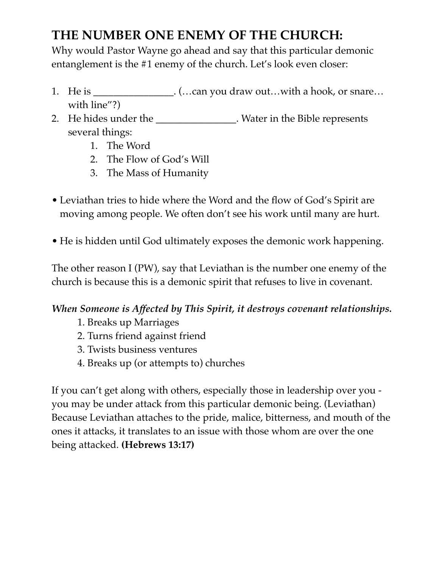# **THE NUMBER ONE ENEMY OF THE CHURCH:**

Why would Pastor Wayne go ahead and say that this particular demonic entanglement is the #1 enemy of the church. Let's look even closer:

- 1. He is \_\_\_\_\_\_\_\_\_\_\_\_\_\_\_. (...can you draw out...with a hook, or snare... with line"?)
- 2. He hides under the **\_\_\_\_\_\_\_\_\_\_\_\_\_\_\_\_**. Water in the Bible represents several things:
	- 1. The Word
	- 2. The Flow of God's Will
	- 3. The Mass of Humanity
- Leviathan tries to hide where the Word and the flow of God's Spirit are moving among people. We often don't see his work until many are hurt.
- He is hidden until God ultimately exposes the demonic work happening.

The other reason I (PW), say that Leviathan is the number one enemy of the church is because this is a demonic spirit that refuses to live in covenant.

## *When Someone is Affected by This Spirit, it destroys covenant relationships.*

- 1. Breaks up Marriages
- 2. Turns friend against friend
- 3. Twists business ventures
- 4. Breaks up (or attempts to) churches

If you can't get along with others, especially those in leadership over you you may be under attack from this particular demonic being. (Leviathan) Because Leviathan attaches to the pride, malice, bitterness, and mouth of the ones it attacks, it translates to an issue with those whom are over the one being attacked. **(Hebrews 13:17)**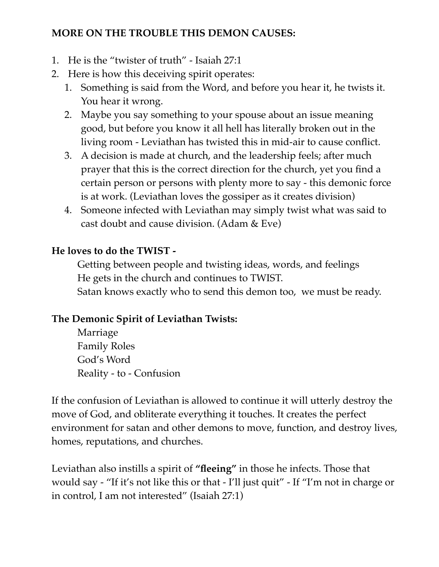### **MORE ON THE TROUBLE THIS DEMON CAUSES:**

- 1. He is the "twister of truth" Isaiah 27:1
- 2. Here is how this deceiving spirit operates:
	- 1. Something is said from the Word, and before you hear it, he twists it. You hear it wrong.
	- 2. Maybe you say something to your spouse about an issue meaning good, but before you know it all hell has literally broken out in the living room - Leviathan has twisted this in mid-air to cause conflict.
	- 3. A decision is made at church, and the leadership feels; after much prayer that this is the correct direction for the church, yet you find a certain person or persons with plenty more to say - this demonic force is at work. (Leviathan loves the gossiper as it creates division)
	- 4. Someone infected with Leviathan may simply twist what was said to cast doubt and cause division. (Adam & Eve)

### **He loves to do the TWIST -**

Getting between people and twisting ideas, words, and feelings He gets in the church and continues to TWIST. Satan knows exactly who to send this demon too, we must be ready.

## **The Demonic Spirit of Leviathan Twists:**

Marriage Family Roles God's Word Reality - to - Confusion

If the confusion of Leviathan is allowed to continue it will utterly destroy the move of God, and obliterate everything it touches. It creates the perfect environment for satan and other demons to move, function, and destroy lives, homes, reputations, and churches.

Leviathan also instills a spirit of **"fleeing"** in those he infects. Those that would say - "If it's not like this or that - I'll just quit" - If "I'm not in charge or in control, I am not interested" (Isaiah 27:1)